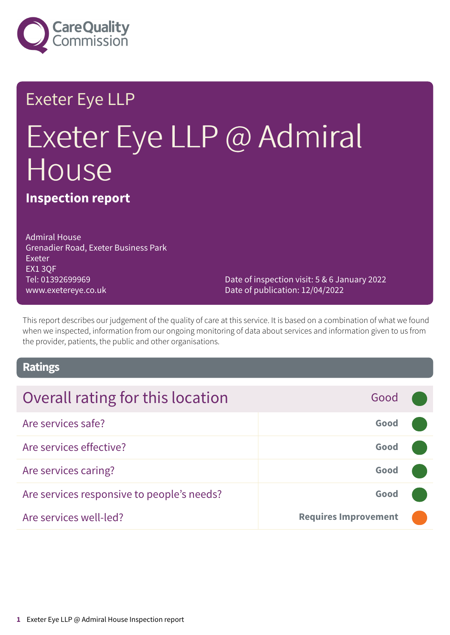

### Exeter Eye LLP

# Exeter Eye LLP @ Admiral House

**Inspection report**

Admiral House Grenadier Road, Exeter Business Park Exeter EX1 3QF Tel: 01392699969 www.exetereye.co.uk

Date of inspection visit: 5 & 6 January 2022 Date of publication: 12/04/2022

This report describes our judgement of the quality of care at this service. It is based on a combination of what we found when we inspected, information from our ongoing monitoring of data about services and information given to us from the provider, patients, the public and other organisations.

### **Ratings**

| Overall rating for this location           | Good                        |  |
|--------------------------------------------|-----------------------------|--|
| Are services safe?                         | Good                        |  |
| Are services effective?                    | Good                        |  |
| Are services caring?                       | Good                        |  |
| Are services responsive to people's needs? | Good                        |  |
| Are services well-led?                     | <b>Requires Improvement</b> |  |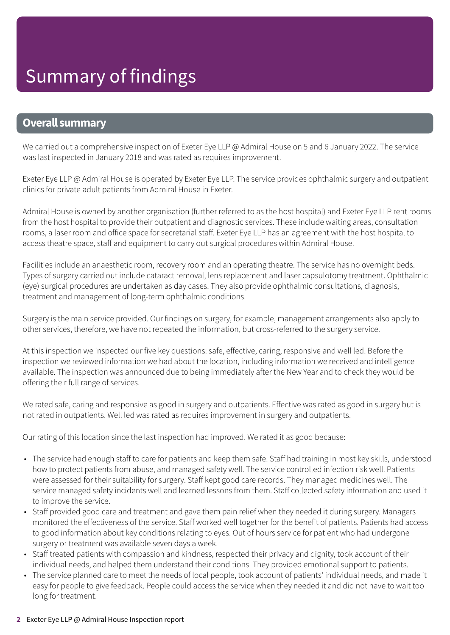### **Overall summary**

We carried out a comprehensive inspection of Exeter Eye LLP @ Admiral House on 5 and 6 January 2022. The service was last inspected in January 2018 and was rated as requires improvement.

Exeter Eye LLP @ Admiral House is operated by Exeter Eye LLP. The service provides ophthalmic surgery and outpatient clinics for private adult patients from Admiral House in Exeter.

Admiral House is owned by another organisation (further referred to as the host hospital) and Exeter Eye LLP rent rooms from the host hospital to provide their outpatient and diagnostic services. These include waiting areas, consultation rooms, a laser room and office space for secretarial staff. Exeter Eye LLP has an agreement with the host hospital to access theatre space, staff and equipment to carry out surgical procedures within Admiral House.

Facilities include an anaesthetic room, recovery room and an operating theatre. The service has no overnight beds. Types of surgery carried out include cataract removal, lens replacement and laser capsulotomy treatment. Ophthalmic (eye) surgical procedures are undertaken as day cases. They also provide ophthalmic consultations, diagnosis, treatment and management of long-term ophthalmic conditions.

Surgery is the main service provided. Our findings on surgery, for example, management arrangements also apply to other services, therefore, we have not repeated the information, but cross-referred to the surgery service.

At this inspection we inspected our five key questions: safe, effective, caring, responsive and well led. Before the inspection we reviewed information we had about the location, including information we received and intelligence available. The inspection was announced due to being immediately after the New Year and to check they would be offering their full range of services.

We rated safe, caring and responsive as good in surgery and outpatients. Effective was rated as good in surgery but is not rated in outpatients. Well led was rated as requires improvement in surgery and outpatients.

Our rating of this location since the last inspection had improved. We rated it as good because:

- The service had enough staff to care for patients and keep them safe. Staff had training in most key skills, understood how to protect patients from abuse, and managed safety well. The service controlled infection risk well. Patients were assessed for their suitability for surgery. Staff kept good care records. They managed medicines well. The service managed safety incidents well and learned lessons from them. Staff collected safety information and used it to improve the service.
- Staff provided good care and treatment and gave them pain relief when they needed it during surgery. Managers monitored the effectiveness of the service. Staff worked well together for the benefit of patients. Patients had access to good information about key conditions relating to eyes. Out of hours service for patient who had undergone surgery or treatment was available seven days a week.
- Staff treated patients with compassion and kindness, respected their privacy and dignity, took account of their individual needs, and helped them understand their conditions. They provided emotional support to patients.
- The service planned care to meet the needs of local people, took account of patients' individual needs, and made it easy for people to give feedback. People could access the service when they needed it and did not have to wait too long for treatment.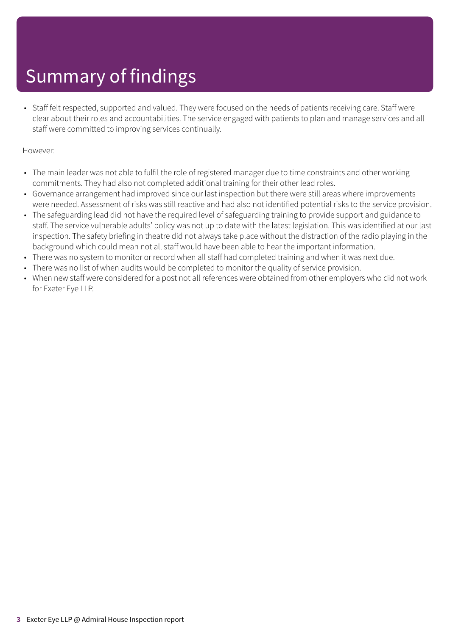• Staff felt respected, supported and valued. They were focused on the needs of patients receiving care. Staff were clear about their roles and accountabilities. The service engaged with patients to plan and manage services and all staff were committed to improving services continually.

### However:

- The main leader was not able to fulfil the role of registered manager due to time constraints and other working commitments. They had also not completed additional training for their other lead roles.
- Governance arrangement had improved since our last inspection but there were still areas where improvements were needed. Assessment of risks was still reactive and had also not identified potential risks to the service provision.
- The safeguarding lead did not have the required level of safeguarding training to provide support and guidance to staff. The service vulnerable adults' policy was not up to date with the latest legislation. This was identified at our last inspection. The safety briefing in theatre did not always take place without the distraction of the radio playing in the background which could mean not all staff would have been able to hear the important information.
- There was no system to monitor or record when all staff had completed training and when it was next due.
- There was no list of when audits would be completed to monitor the quality of service provision.
- When new staff were considered for a post not all references were obtained from other employers who did not work for Exeter Eye LLP.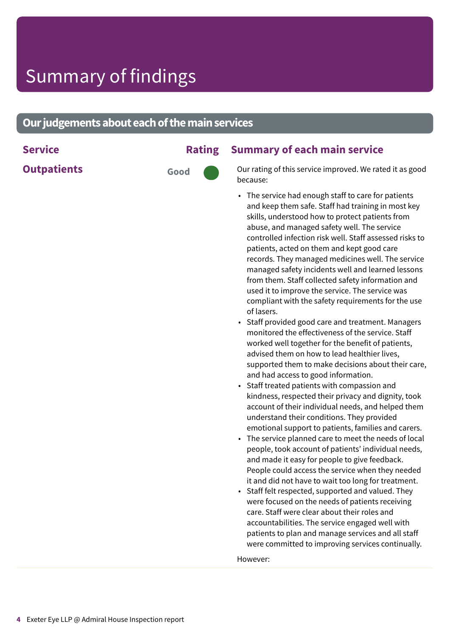### **Our judgements about each of the main services**

**Outpatients Good** 

### **Service Rating Summary of each main service**

Our rating of this service improved. We rated it as good because:

- The service had enough staff to care for patients and keep them safe. Staff had training in most key skills, understood how to protect patients from abuse, and managed safety well. The service controlled infection risk well. Staff assessed risks to patients, acted on them and kept good care records. They managed medicines well. The service managed safety incidents well and learned lessons from them. Staff collected safety information and used it to improve the service. The service was compliant with the safety requirements for the use of lasers.
- Staff provided good care and treatment. Managers monitored the effectiveness of the service. Staff worked well together for the benefit of patients, advised them on how to lead healthier lives, supported them to make decisions about their care, and had access to good information.
- Staff treated patients with compassion and kindness, respected their privacy and dignity, took account of their individual needs, and helped them understand their conditions. They provided emotional support to patients, families and carers.
- The service planned care to meet the needs of local people, took account of patients' individual needs, and made it easy for people to give feedback. People could access the service when they needed it and did not have to wait too long for treatment.
- Staff felt respected, supported and valued. They were focused on the needs of patients receiving care. Staff were clear about their roles and accountabilities. The service engaged well with patients to plan and manage services and all staff were committed to improving services continually.

However: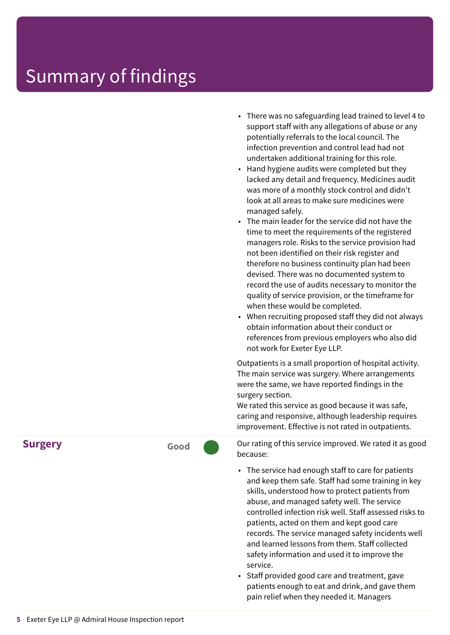• There was no safeguarding lead trained to level 4 to support staff with any allegations of abuse or any potentially referrals to the local council. The infection prevention and control lead had not undertaken additional training for this role.

• Hand hygiene audits were completed but they lacked any detail and frequency. Medicines audit was more of a monthly stock control and didn't look at all areas to make sure medicines were managed safely.

• The main leader for the service did not have the time to meet the requirements of the registered managers role. Risks to the service provision had not been identified on their risk register and therefore no business continuity plan had been devised. There was no documented system to record the use of audits necessary to monitor the quality of service provision, or the timeframe for when these would be completed.

• When recruiting proposed staff they did not always obtain information about their conduct or references from previous employers who also did not work for Exeter Eye LLP.

Outpatients is a small proportion of hospital activity. The main service was surgery. Where arrangements were the same, we have reported findings in the surgery section.

We rated this service as good because it was safe, caring and responsive, although leadership requires improvement. Effective is not rated in outpatients.

Our rating of this service improved. We rated it as good because:

- The service had enough staff to care for patients and keep them safe. Staff had some training in key skills, understood how to protect patients from abuse, and managed safety well. The service controlled infection risk well. Staff assessed risks to patients, acted on them and kept good care records. The service managed safety incidents well and learned lessons from them. Staff collected safety information and used it to improve the service.
- Staff provided good care and treatment, gave patients enough to eat and drink, and gave them pain relief when they needed it. Managers

**Surgery Good**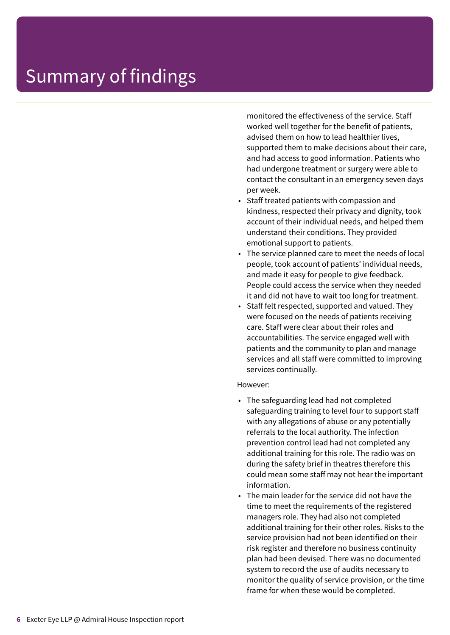monitored the effectiveness of the service. Staff worked well together for the benefit of patients, advised them on how to lead healthier lives, supported them to make decisions about their care, and had access to good information. Patients who had undergone treatment or surgery were able to contact the consultant in an emergency seven days per week.

- Staff treated patients with compassion and kindness, respected their privacy and dignity, took account of their individual needs, and helped them understand their conditions. They provided emotional support to patients.
- The service planned care to meet the needs of local people, took account of patients' individual needs, and made it easy for people to give feedback. People could access the service when they needed it and did not have to wait too long for treatment.
- Staff felt respected, supported and valued. They were focused on the needs of patients receiving care. Staff were clear about their roles and accountabilities. The service engaged well with patients and the community to plan and manage services and all staff were committed to improving services continually.

#### However:

- The safeguarding lead had not completed safeguarding training to level four to support staff with any allegations of abuse or any potentially referrals to the local authority. The infection prevention control lead had not completed any additional training for this role. The radio was on during the safety brief in theatres therefore this could mean some staff may not hear the important information.
- The main leader for the service did not have the time to meet the requirements of the registered managers role. They had also not completed additional training for their other roles. Risks to the service provision had not been identified on their risk register and therefore no business continuity plan had been devised. There was no documented system to record the use of audits necessary to monitor the quality of service provision, or the time frame for when these would be completed.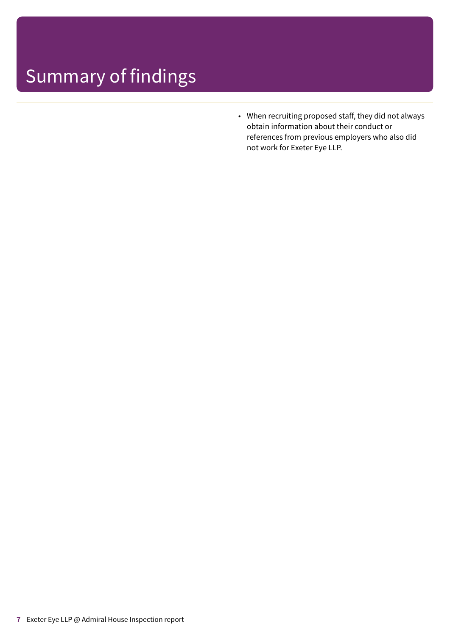• When recruiting proposed staff, they did not always obtain information about their conduct or references from previous employers who also did not work for Exeter Eye LLP.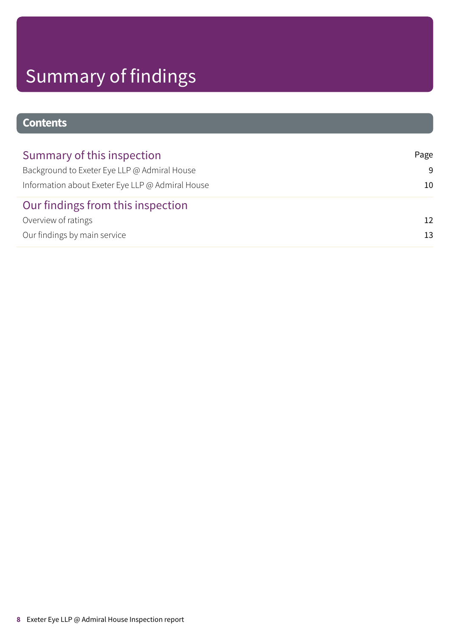### **Contents**

| Summary of this inspection                       | Page            |
|--------------------------------------------------|-----------------|
| Background to Exeter Eye LLP @ Admiral House     | -9              |
| Information about Exeter Eye LLP @ Admiral House | 10              |
| Our findings from this inspection                |                 |
| Overview of ratings                              | $12 \ \mathrm{$ |
| Our findings by main service                     | 13              |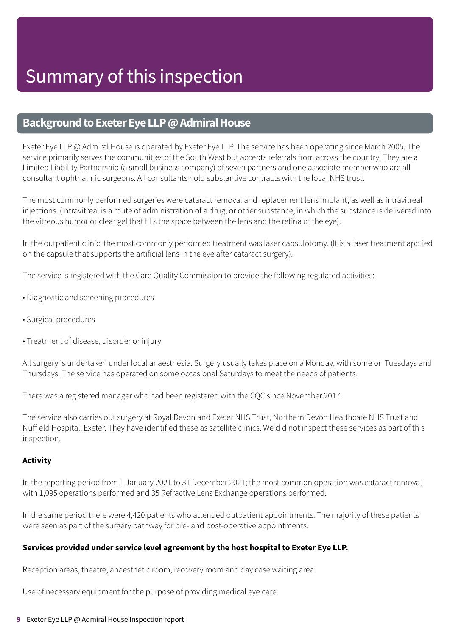### <span id="page-8-0"></span>**Background to Exeter Eye LLP @ Admiral House**

Exeter Eye LLP @ Admiral House is operated by Exeter Eye LLP. The service has been operating since March 2005. The service primarily serves the communities of the South West but accepts referrals from across the country. They are a Limited Liability Partnership (a small business company) of seven partners and one associate member who are all consultant ophthalmic surgeons. All consultants hold substantive contracts with the local NHS trust.

The most commonly performed surgeries were cataract removal and replacement lens implant, as well as intravitreal injections. (Intravitreal is a route of administration of a drug, or other substance, in which the substance is delivered into the vitreous humor or clear gel that fills the space between the lens and the retina of the eye).

In the outpatient clinic, the most commonly performed treatment was laser capsulotomy. (It is a laser treatment applied on the capsule that supports the artificial lens in the eye after cataract surgery).

The service is registered with the Care Quality Commission to provide the following regulated activities:

- Diagnostic and screening procedures
- Surgical procedures
- Treatment of disease, disorder or injury.

All surgery is undertaken under local anaesthesia. Surgery usually takes place on a Monday, with some on Tuesdays and Thursdays. The service has operated on some occasional Saturdays to meet the needs of patients.

There was a registered manager who had been registered with the CQC since November 2017.

The service also carries out surgery at Royal Devon and Exeter NHS Trust, Northern Devon Healthcare NHS Trust and Nuffield Hospital, Exeter. They have identified these as satellite clinics. We did not inspect these services as part of this inspection.

### **Activity**

In the reporting period from 1 January 2021 to 31 December 2021; the most common operation was cataract removal with 1,095 operations performed and 35 Refractive Lens Exchange operations performed.

In the same period there were 4,420 patients who attended outpatient appointments. The majority of these patients were seen as part of the surgery pathway for pre- and post-operative appointments.

### **Services provided under service level agreement by the host hospital to Exeter Eye LLP.**

Reception areas, theatre, anaesthetic room, recovery room and day case waiting area.

Use of necessary equipment for the purpose of providing medical eye care.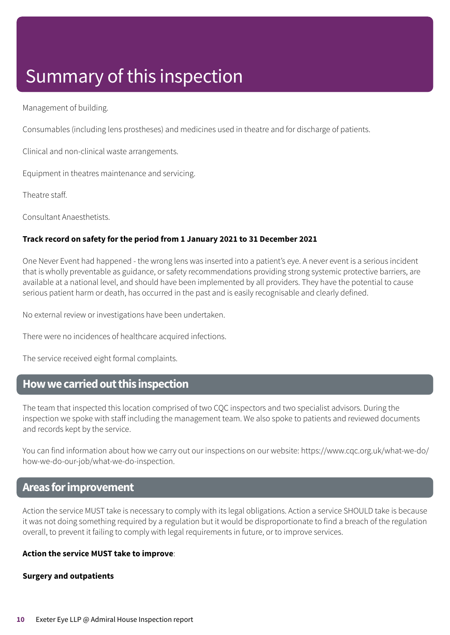### Summary of this inspection

Management of building.

Consumables (including lens prostheses) and medicines used in theatre and for discharge of patients.

Clinical and non-clinical waste arrangements.

Equipment in theatres maintenance and servicing.

Theatre staff.

Consultant Anaesthetists.

### **Track record on safety for the period from 1 January 2021 to 31 December 2021**

One Never Event had happened - the wrong lens was inserted into a patient's eye. A never event is a serious incident that is wholly preventable as guidance, or safety recommendations providing strong systemic protective barriers, are available at a national level, and should have been implemented by all providers. They have the potential to cause serious patient harm or death, has occurred in the past and is easily recognisable and clearly defined.

No external review or investigations have been undertaken.

There were no incidences of healthcare acquired infections.

The service received eight formal complaints.

### <span id="page-9-0"></span>**Howwecarriedoutthis inspection**

The team that inspected this location comprised of two CQC inspectors and two specialist advisors. During the inspection we spoke with staff including the management team. We also spoke to patients and reviewed documents and records kept by the service.

You can find information about how we carry out our inspections on our website: https://www.cqc.org.uk/what-we-do/ how-we-do-our-job/what-we-do-inspection.

### **Areas forimprovement**

Action the service MUST take is necessary to comply with its legal obligations. Action a service SHOULD take is because it was not doing something required by a regulation but it would be disproportionate to find a breach of the regulation overall, to prevent it failing to comply with legal requirements in future, or to improve services.

### **Action the service MUST take to improve**:

### **Surgery and outpatients**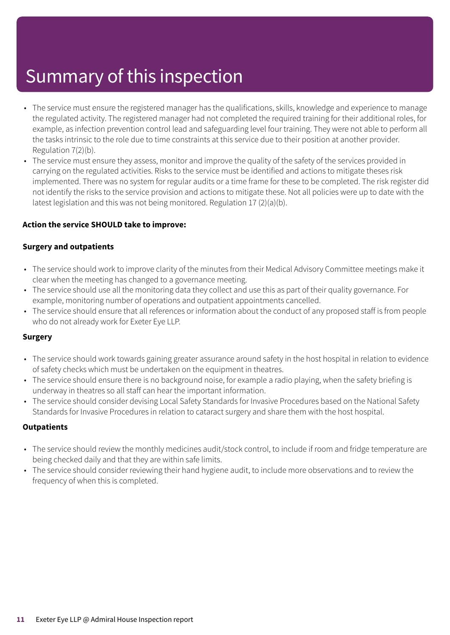### Summary of this inspection

- The service must ensure the registered manager has the qualifications, skills, knowledge and experience to manage the regulated activity. The registered manager had not completed the required training for their additional roles, for example, as infection prevention control lead and safeguarding level four training. They were not able to perform all the tasks intrinsic to the role due to time constraints at this service due to their position at another provider. Regulation 7(2)(b).
- The service must ensure they assess, monitor and improve the quality of the safety of the services provided in carrying on the regulated activities. Risks to the service must be identified and actions to mitigate theses risk implemented. There was no system for regular audits or a time frame for these to be completed. The risk register did not identify the risks to the service provision and actions to mitigate these. Not all policies were up to date with the latest legislation and this was not being monitored. Regulation 17 (2)(a)(b).

### **Action the service SHOULD take to improve:**

### **Surgery and outpatients**

- The service should work to improve clarity of the minutes from their Medical Advisory Committee meetings make it clear when the meeting has changed to a governance meeting.
- The service should use all the monitoring data they collect and use this as part of their quality governance. For example, monitoring number of operations and outpatient appointments cancelled.
- The service should ensure that all references or information about the conduct of any proposed staff is from people who do not already work for Exeter Eye LLP.

### **Surgery**

- The service should work towards gaining greater assurance around safety in the host hospital in relation to evidence of safety checks which must be undertaken on the equipment in theatres.
- The service should ensure there is no background noise, for example a radio playing, when the safety briefing is underway in theatres so all staff can hear the important information.
- The service should consider devising Local Safety Standards for Invasive Procedures based on the National Safety Standards for Invasive Procedures in relation to cataract surgery and share them with the host hospital.

### **Outpatients**

- The service should review the monthly medicines audit/stock control, to include if room and fridge temperature are being checked daily and that they are within safe limits.
- The service should consider reviewing their hand hygiene audit, to include more observations and to review the frequency of when this is completed.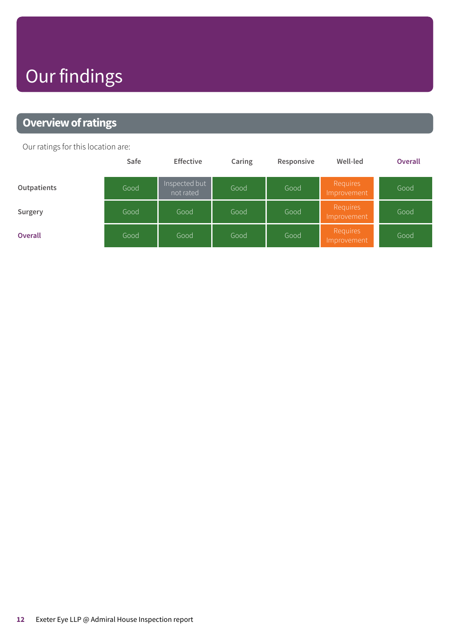## Our findings

### <span id="page-11-0"></span>**Overview of ratings**

Our ratings for this location are:

|                | Safe | <b>Effective</b>           | Caring | Responsive | Well-led                | Overall |
|----------------|------|----------------------------|--------|------------|-------------------------|---------|
| Outpatients    | Good | Inspected but<br>not rated | Good   | Good       | Requires<br>Improvement | Good    |
| Surgery        | Good | Good                       | Good   | Good       | Requires<br>Improvement | Good    |
| <b>Overall</b> | Good | Good                       | Good   | Good       | Requires<br>Improvement | Good    |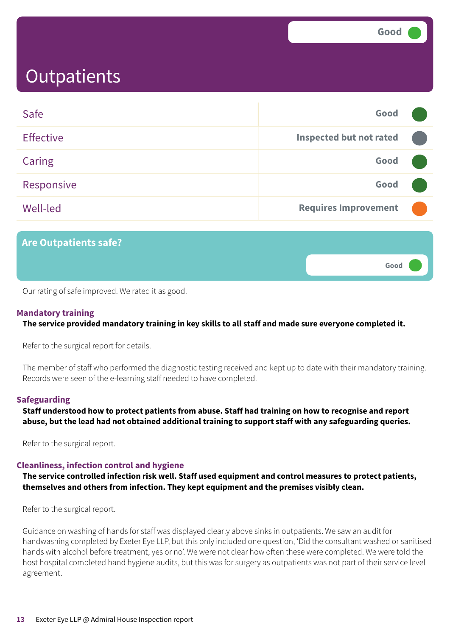**Good –––**

### <span id="page-12-0"></span>**Outpatients**

| Safe             | Good                           |  |
|------------------|--------------------------------|--|
| <b>Effective</b> | <b>Inspected but not rated</b> |  |
| Caring           | Good                           |  |
| Responsive       | Good                           |  |
| Well-led         | <b>Requires Improvement</b>    |  |
|                  |                                |  |

### **Are Outpatients safe?**

Our rating of safe improved. We rated it as good.

### **Mandatory training**

**The service provided mandatory training in key skills to all staff and made sure everyone completed it.**

Refer to the surgical report for details.

The member of staff who performed the diagnostic testing received and kept up to date with their mandatory training. Records were seen of the e-learning staff needed to have completed.

### **Safeguarding**

**Staff understood how to protect patients from abuse. Staff had training on how to recognise and report abuse, but the lead had not obtained additional training to support staff with any safeguarding queries.**

Refer to the surgical report.

### **Cleanliness, infection control and hygiene**

**The service controlled infection risk well. Staff used equipment and control measures to protect patients, themselves and others from infection. They kept equipment and the premises visibly clean.**

Refer to the surgical report.

Guidance on washing of hands for staff was displayed clearly above sinks in outpatients. We saw an audit for handwashing completed by Exeter Eye LLP, but this only included one question, 'Did the consultant washed or sanitised hands with alcohol before treatment, yes or no'. We were not clear how often these were completed. We were told the host hospital completed hand hygiene audits, but this was for surgery as outpatients was not part of their service level agreement.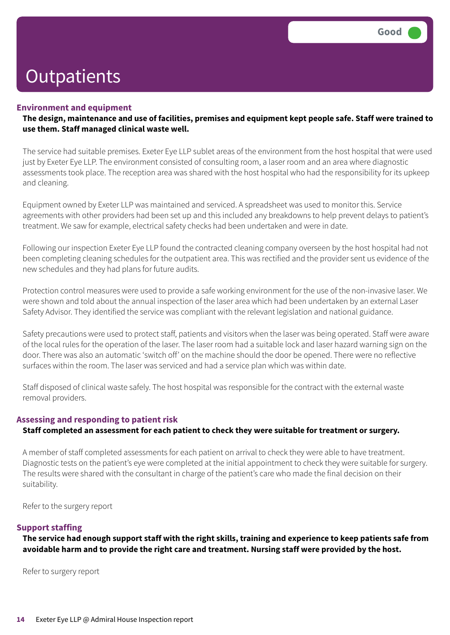#### **Environment and equipment**

The design, maintenance and use of facilities, premises and equipment kept people safe. Staff were trained to **use them. Staff managed clinical waste well.**

The service had suitable premises. Exeter Eye LLP sublet areas of the environment from the host hospital that were used just by Exeter Eye LLP. The environment consisted of consulting room, a laser room and an area where diagnostic assessments took place. The reception area was shared with the host hospital who had the responsibility for its upkeep and cleaning.

Equipment owned by Exeter LLP was maintained and serviced. A spreadsheet was used to monitor this. Service agreements with other providers had been set up and this included any breakdowns to help prevent delays to patient's treatment. We saw for example, electrical safety checks had been undertaken and were in date.

Following our inspection Exeter Eye LLP found the contracted cleaning company overseen by the host hospital had not been completing cleaning schedules for the outpatient area. This was rectified and the provider sent us evidence of the new schedules and they had plans for future audits.

Protection control measures were used to provide a safe working environment for the use of the non-invasive laser. We were shown and told about the annual inspection of the laser area which had been undertaken by an external Laser Safety Advisor. They identified the service was compliant with the relevant legislation and national guidance.

Safety precautions were used to protect staff, patients and visitors when the laser was being operated. Staff were aware of the local rules for the operation of the laser. The laser room had a suitable lock and laser hazard warning sign on the door. There was also an automatic 'switch off' on the machine should the door be opened. There were no reflective surfaces within the room. The laser was serviced and had a service plan which was within date.

Staff disposed of clinical waste safely. The host hospital was responsible for the contract with the external waste removal providers.

### **Assessing and responding to patient risk Staff completed an assessment for each patient to check they were suitable for treatment or surgery.**

A member of staff completed assessments for each patient on arrival to check they were able to have treatment. Diagnostic tests on the patient's eye were completed at the initial appointment to check they were suitable for surgery. The results were shared with the consultant in charge of the patient's care who made the final decision on their suitability.

Refer to the surgery report

### **Support staffing**

The service had enough support staff with the right skills, training and experience to keep patients safe from **avoidable harm and to provide the right care and treatment. Nursing staff were provided by the host.**

Refer to surgery report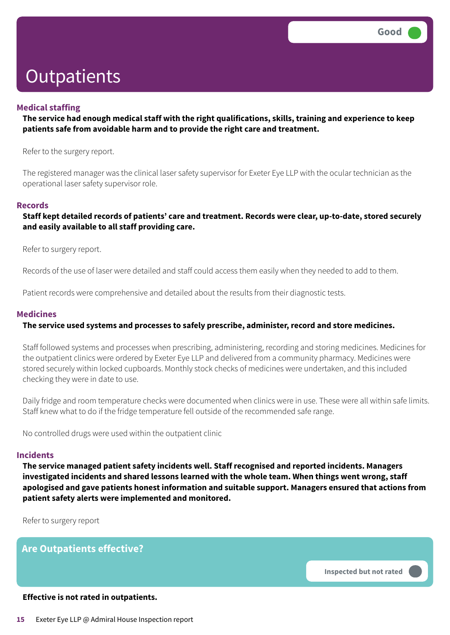### **Medical staffing**

### **The service had enough medical staff with the right qualifications, skills, training and experience to keep patients safe from avoidable harm and to provide the right care and treatment.**

Refer to the surgery report.

The registered manager was the clinical laser safety supervisor for Exeter Eye LLP with the ocular technician as the operational laser safety supervisor role.

#### **Records**

**Staff kept detailed records of patients' care and treatment. Records were clear, up-to-date, stored securely and easily available to all staff providing care.**

Refer to surgery report.

Records of the use of laser were detailed and staff could access them easily when they needed to add to them.

Patient records were comprehensive and detailed about the results from their diagnostic tests.

### **Medicines**

### **The service used systems and processes to safely prescribe, administer, record and store medicines.**

Staff followed systems and processes when prescribing, administering, recording and storing medicines. Medicines for the outpatient clinics were ordered by Exeter Eye LLP and delivered from a community pharmacy. Medicines were stored securely within locked cupboards. Monthly stock checks of medicines were undertaken, and this included checking they were in date to use.

Daily fridge and room temperature checks were documented when clinics were in use. These were all within safe limits. Staff knew what to do if the fridge temperature fell outside of the recommended safe range.

No controlled drugs were used within the outpatient clinic

#### **Incidents**

**The service managed patient safety incidents well. Staff recognised and reported incidents. Managers investigated incidents and shared lessons learned with the whole team. When things went wrong, staff apologised and gave patients honest information and suitable support. Managers ensured that actions from patient safety alerts were implemented and monitored.**

Refer to surgery report

**Are Outpatients effective?**

**Inspected but not rated –––**

#### **Effective is not rated in outpatients.**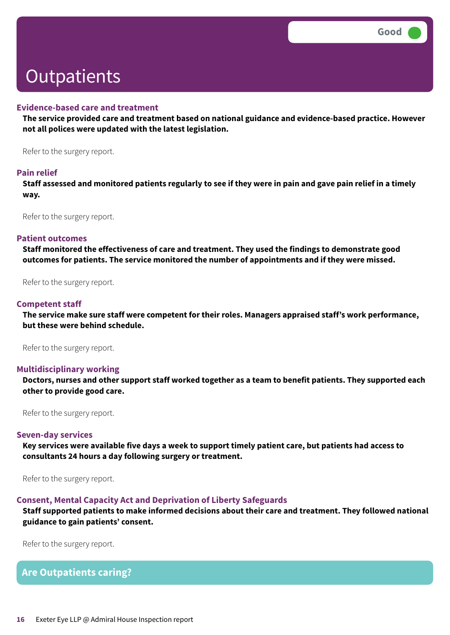#### **Evidence-based care and treatment**

**The service provided care and treatment based on national guidance and evidence-based practice. However not all polices were updated with the latest legislation.**

Refer to the surgery report.

#### **Pain relief**

Staff assessed and monitored patients regularly to see if they were in pain and gave pain relief in a timely **way.**

Refer to the surgery report.

#### **Patient outcomes**

**Staff monitored the effectiveness of care and treatment. They used the findings to demonstrate good outcomes for patients. The service monitored the number of appointments and if they were missed.**

Refer to the surgery report.

#### **Competent staff**

**The service make sure staff were competent for their roles. Managers appraised staff's work performance, but these were behind schedule.**

Refer to the surgery report.

#### **Multidisciplinary working**

Doctors, nurses and other support staff worked together as a team to benefit patients. They supported each **other to provide good care.**

Refer to the surgery report.

#### **Seven-day services**

Key services were available five days a week to support timely patient care, but patients had access to **consultants 24 hours a day following surgery or treatment.**

Refer to the surgery report.

#### **Consent, Mental Capacity Act and Deprivation of Liberty Safeguards**

**Staff supported patients to make informed decisions about their care and treatment. They followed national guidance to gain patients' consent.**

Refer to the surgery report.

### **Are Outpatients caring?**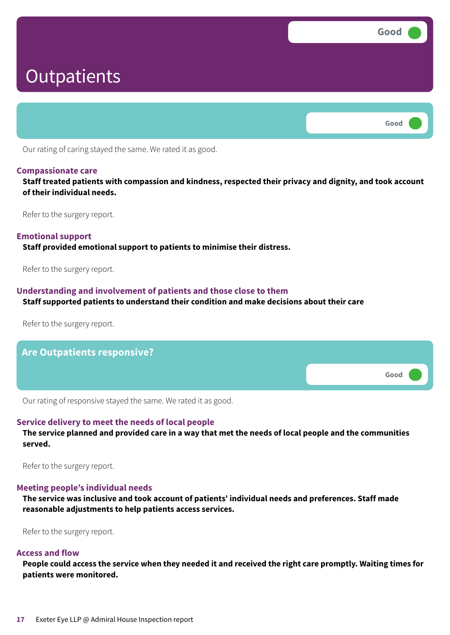**Good ––– Outpatients Good –––**

Our rating of caring stayed the same. We rated it as good.

### **Compassionate care**

**Staff treated patients with compassion and kindness, respected their privacy and dignity, and took account of their individual needs.**

Refer to the surgery report.

### **Emotional support**

**Staff provided emotional support to patients to minimise their distress.**

Refer to the surgery report.

### **Understanding and involvement of patients and those close to them**

#### **Staff supported patients to understand their condition and make decisions about their care**

Refer to the surgery report.



Our rating of responsive stayed the same. We rated it as good.

### **Service delivery to meet the needs of local people**

The service planned and provided care in a way that met the needs of local people and the communities **served.**

Refer to the surgery report.

### **Meeting people's individual needs**

**The service was inclusive and took account of patients' individual needs and preferences. Staff made reasonable adjustments to help patients access services.**

Refer to the surgery report.

### **Access and flow**

People could access the service when they needed it and received the right care promptly. Waiting times for **patients were monitored.**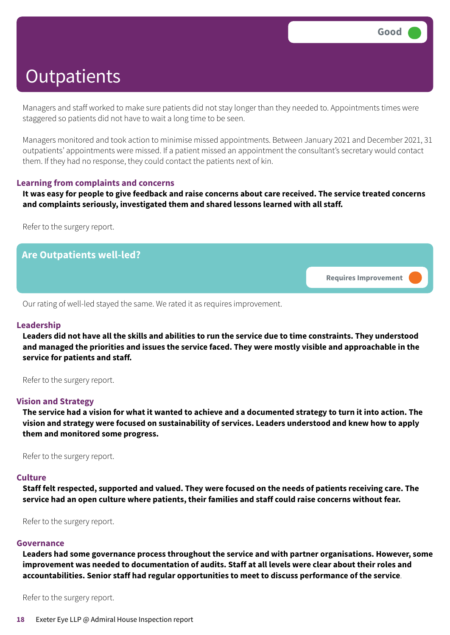Managers and staff worked to make sure patients did not stay longer than they needed to. Appointments times were staggered so patients did not have to wait a long time to be seen.

Managers monitored and took action to minimise missed appointments. Between January 2021 and December 2021, 31 outpatients' appointments were missed. If a patient missed an appointment the consultant's secretary would contact them. If they had no response, they could contact the patients next of kin.

### **Learning from complaints and concerns**

It was easy for people to give feedback and raise concerns about care received. The service treated concerns **and complaints seriously, investigated them and shared lessons learned with all staff.**

Refer to the surgery report.



Our rating of well-led stayed the same. We rated it as requires improvement.

#### **Leadership**

Leaders did not have all the skills and abilities to run the service due to time constraints. They understood **and managed the priorities and issues the service faced. They were mostly visible and approachable in the service for patients and staff.**

Refer to the surgery report.

#### **Vision and Strategy**

The service had a vision for what it wanted to achieve and a documented strategy to turn it into action. The **vision and strategy were focused on sustainability of services. Leaders understood and knew how to apply them and monitored some progress.**

Refer to the surgery report.

#### **Culture**

Staff felt respected, supported and valued. They were focused on the needs of patients receiving care. The **service had an open culture where patients, their families and staff could raise concerns without fear.**

Refer to the surgery report.

#### **Governance**

**Leaders had some governance process throughout the service and with partner organisations. However, some improvement was needed to documentation of audits. Staff at all levels were clear about their roles and accountabilities. Senior staff had regular opportunities to meet to discuss performance of the service**.

Refer to the surgery report.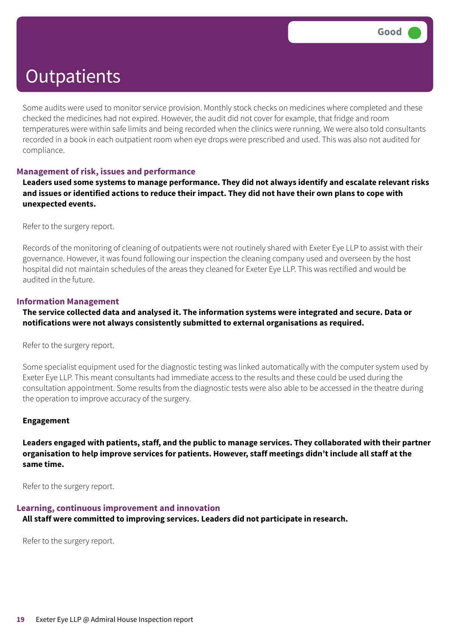Some audits were used to monitor service provision. Monthly stock checks on medicines where completed and these checked the medicines had not expired. However, the audit did not cover for example, that fridge and room temperatures were within safe limits and being recorded when the clinics were running. We were also told consultants recorded in a book in each outpatient room when eye drops were prescribed and used. This was also not audited for compliance.

### **Management of risk, issues and performance**

**Leaders used some systems to manage performance. They did not always identify and escalate relevant risks** and issues or identified actions to reduce their impact. They did not have their own plans to cope with **unexpected events.**

Refer to the surgery report.

Records of the monitoring of cleaning of outpatients were not routinely shared with Exeter Eye LLP to assist with their governance. However, it was found following our inspection the cleaning company used and overseen by the host hospital did not maintain schedules of the areas they cleaned for Exeter Eye LLP. This was rectified and would be audited in the future.

### **Information Management**

**The service collected data and analysed it. The information systems were integrated and secure. Data or notifications were not always consistently submitted to external organisations as required.**

Refer to the surgery report.

Some specialist equipment used for the diagnostic testing was linked automatically with the computer system used by Exeter Eye LLP. This meant consultants had immediate access to the results and these could be used during the consultation appointment. Some results from the diagnostic tests were also able to be accessed in the theatre during the operation to improve accuracy of the surgery.

### **Engagement**

**Leaders engaged with patients, staff, and the public to manage services. They collaborated with their partner organisation to help improve services for patients. However, staff meetings didn't include all staff at the same time.**

Refer to the surgery report.

### **Learning, continuous improvement and innovation**

**All staff were committed to improving services. Leaders did not participate in research.**

Refer to the surgery report.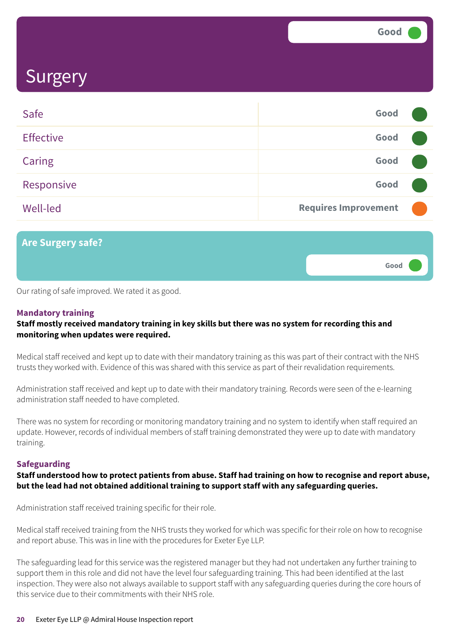**Good –––**

### **Surgery**

| Safe             | Good                        |  |
|------------------|-----------------------------|--|
| <b>Effective</b> | Good                        |  |
| <b>Caring</b>    | Good                        |  |
| Responsive       | Good                        |  |
| <b>Well-led</b>  | <b>Requires Improvement</b> |  |

**Are Surgery safe?**

Our rating of safe improved. We rated it as good.

### **Mandatory training**

### **Staff mostly received mandatory training in key skills but there was no system for recording this and monitoring when updates were required.**

Medical staff received and kept up to date with their mandatory training as this was part of their contract with the NHS trusts they worked with. Evidence of this was shared with this service as part of their revalidation requirements.

Administration staff received and kept up to date with their mandatory training. Records were seen of the e-learning administration staff needed to have completed.

There was no system for recording or monitoring mandatory training and no system to identify when staff required an update. However, records of individual members of staff training demonstrated they were up to date with mandatory training.

### **Safeguarding**

### Staff understood how to protect patients from abuse. Staff had training on how to recognise and report abuse, **but the lead had not obtained additional training to support staff with any safeguarding queries.**

Administration staff received training specific for their role.

Medical staff received training from the NHS trusts they worked for which was specific for their role on how to recognise and report abuse. This was in line with the procedures for Exeter Eye LLP.

The safeguarding lead for this service was the registered manager but they had not undertaken any further training to support them in this role and did not have the level four safeguarding training. This had been identified at the last inspection. They were also not always available to support staff with any safeguarding queries during the core hours of this service due to their commitments with their NHS role.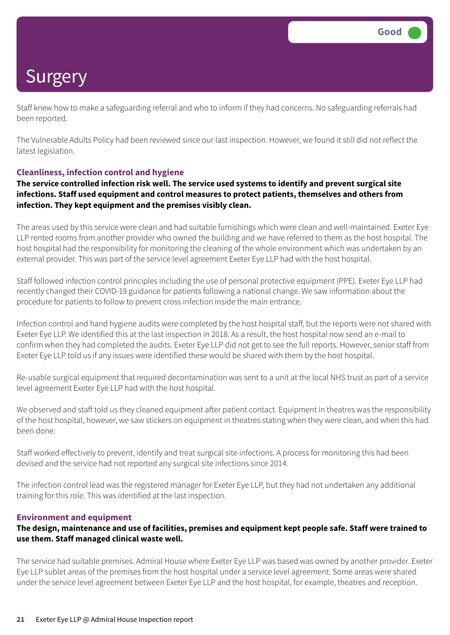Staff knew how to make a safeguarding referral and who to inform if they had concerns. No safeguarding referrals had been reported.

The Vulnerable Adults Policy had been reviewed since our last inspection. However, we found it still did not reflect the latest legislation.

### **Cleanliness, infection control and hygiene**

**The service controlled infection risk well. The service used systems to identify and prevent surgical site infections. Staff used equipment and control measures to protect patients, themselves and others from infection. They kept equipment and the premises visibly clean.**

The areas used by this service were clean and had suitable furnishings which were clean and well-maintained. Exeter Eye LLP rented rooms from another provider who owned the building and we have referred to them as the host hospital. The host hospital had the responsibility for monitoring the cleaning of the whole environment which was undertaken by an external provider. This was part of the service level agreement Exeter Eye LLP had with the host hospital.

Staff followed infection control principles including the use of personal protective equipment (PPE). Exeter Eye LLP had recently changed their COVID-19 guidance for patients following a national change. We saw information about the procedure for patients to follow to prevent cross infection inside the main entrance.

Infection control and hand hygiene audits were completed by the host hospital staff, but the reports were not shared with Exeter Eye LLP. We identified this at the last inspection in 2018. As a result, the host hospital now send an e-mail to confirm when they had completed the audits. Exeter Eye LLP did not get to see the full reports. However, senior staff from Exeter Eye LLP told us if any issues were identified these would be shared with them by the host hospital.

Re-usable surgical equipment that required decontamination was sent to a unit at the local NHS trust as part of a service level agreement Exeter Eye LLP had with the host hospital.

We observed and staff told us they cleaned equipment after patient contact. Equipment in theatres was the responsibility of the host hospital, however, we saw stickers on equipment in theatres stating when they were clean, and when this had been done.

Staff worked effectively to prevent, identify and treat surgical site infections. A process for monitoring this had been devised and the service had not reported any surgical site infections since 2014.

The infection control lead was the registered manager for Exeter Eye LLP, but they had not undertaken any additional training for this role. This was identified at the last inspection.

### **Environment and equipment**

### The design, maintenance and use of facilities, premises and equipment kept people safe. Staff were trained to **use them. Staff managed clinical waste well.**

The service had suitable premises. Admiral House where Exeter Eye LLP was based was owned by another provider. Exeter Eye LLP sublet areas of the premises from the host hospital under a service level agreement. Some areas were shared under the service level agreement between Exeter Eye LLP and the host hospital, for example, theatres and reception.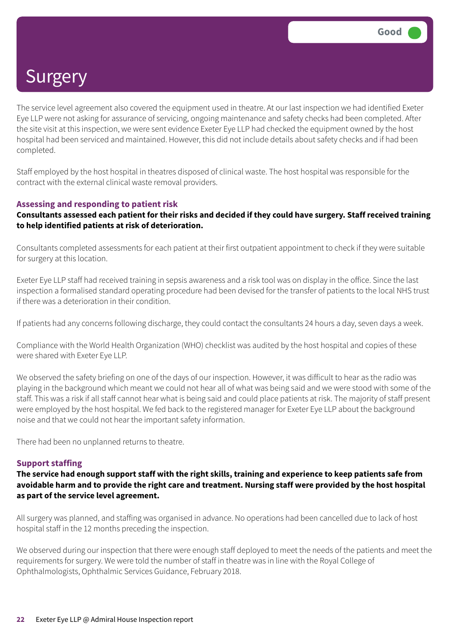The service level agreement also covered the equipment used in theatre. At our last inspection we had identified Exeter Eye LLP were not asking for assurance of servicing, ongoing maintenance and safety checks had been completed. After the site visit at this inspection, we were sent evidence Exeter Eye LLP had checked the equipment owned by the host hospital had been serviced and maintained. However, this did not include details about safety checks and if had been completed.

Staff employed by the host hospital in theatres disposed of clinical waste. The host hospital was responsible for the contract with the external clinical waste removal providers.

### **Assessing and responding to patient risk**

### Consultants assessed each patient for their risks and decided if they could have surgery. Staff received training **to help identified patients at risk of deterioration.**

Consultants completed assessments for each patient at their first outpatient appointment to check if they were suitable for surgery at this location.

Exeter Eye LLP staff had received training in sepsis awareness and a risk tool was on display in the office. Since the last inspection a formalised standard operating procedure had been devised for the transfer of patients to the local NHS trust if there was a deterioration in their condition.

If patients had any concerns following discharge, they could contact the consultants 24 hours a day, seven days a week.

Compliance with the World Health Organization (WHO) checklist was audited by the host hospital and copies of these were shared with Exeter Eye LLP.

We observed the safety briefing on one of the days of our inspection. However, it was difficult to hear as the radio was playing in the background which meant we could not hear all of what was being said and we were stood with some of the staff. This was a risk if all staff cannot hear what is being said and could place patients at risk. The majority of staff present were employed by the host hospital. We fed back to the registered manager for Exeter Eye LLP about the background noise and that we could not hear the important safety information.

There had been no unplanned returns to theatre.

### **Support staffing**

The service had enough support staff with the right skills, training and experience to keep patients safe from avoidable harm and to provide the right care and treatment. Nursing staff were provided by the host hospital **as part of the service level agreement.**

All surgery was planned, and staffing was organised in advance. No operations had been cancelled due to lack of host hospital staff in the 12 months preceding the inspection.

We observed during our inspection that there were enough staff deployed to meet the needs of the patients and meet the requirements for surgery. We were told the number of staff in theatre was in line with the Royal College of Ophthalmologists, Ophthalmic Services Guidance, February 2018.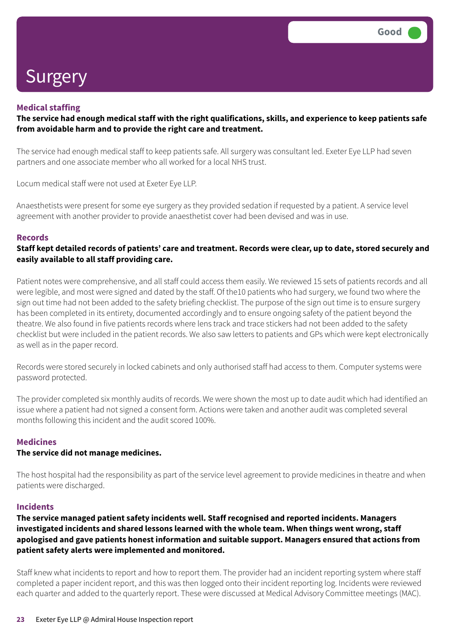### **Medical staffing**

### The service had enough medical staff with the right qualifications, skills, and experience to keep patients safe **from avoidable harm and to provide the right care and treatment.**

The service had enough medical staff to keep patients safe. All surgery was consultant led. Exeter Eye LLP had seven partners and one associate member who all worked for a local NHS trust.

Locum medical staff were not used at Exeter Eye LLP.

Anaesthetists were present for some eye surgery as they provided sedation if requested by a patient. A service level agreement with another provider to provide anaesthetist cover had been devised and was in use.

### **Records**

### Staff kept detailed records of patients' care and treatment. Records were clear, up to date, stored securely and **easily available to all staff providing care.**

Patient notes were comprehensive, and all staff could access them easily. We reviewed 15 sets of patients records and all were legible, and most were signed and dated by the staff. Of the10 patients who had surgery, we found two where the sign out time had not been added to the safety briefing checklist. The purpose of the sign out time is to ensure surgery has been completed in its entirety, documented accordingly and to ensure ongoing safety of the patient beyond the theatre. We also found in five patients records where lens track and trace stickers had not been added to the safety checklist but were included in the patient records. We also saw letters to patients and GPs which were kept electronically as well as in the paper record.

Records were stored securely in locked cabinets and only authorised staff had access to them. Computer systems were password protected.

The provider completed six monthly audits of records. We were shown the most up to date audit which had identified an issue where a patient had not signed a consent form. Actions were taken and another audit was completed several months following this incident and the audit scored 100%.

### **Medicines**

### **The service did not manage medicines.**

The host hospital had the responsibility as part of the service level agreement to provide medicines in theatre and when patients were discharged.

### **Incidents**

### **The service managed patient safety incidents well. Staff recognised and reported incidents. Managers investigated incidents and shared lessons learned with the whole team. When things went wrong, staff apologised and gave patients honest information and suitable support. Managers ensured that actions from patient safety alerts were implemented and monitored.**

Staff knew what incidents to report and how to report them. The provider had an incident reporting system where staff completed a paper incident report, and this was then logged onto their incident reporting log. Incidents were reviewed each quarter and added to the quarterly report. These were discussed at Medical Advisory Committee meetings (MAC).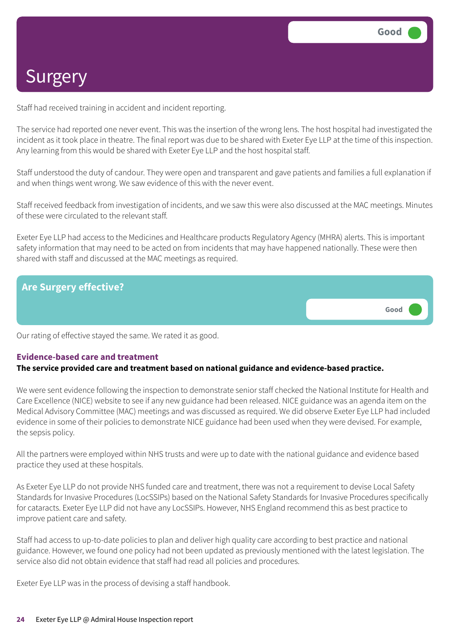Staff had received training in accident and incident reporting.

The service had reported one never event. This was the insertion of the wrong lens. The host hospital had investigated the incident as it took place in theatre. The final report was due to be shared with Exeter Eye LLP at the time of this inspection. Any learning from this would be shared with Exeter Eye LLP and the host hospital staff.

Staff understood the duty of candour. They were open and transparent and gave patients and families a full explanation if and when things went wrong. We saw evidence of this with the never event.

Staff received feedback from investigation of incidents, and we saw this were also discussed at the MAC meetings. Minutes of these were circulated to the relevant staff.

Exeter Eye LLP had access to the Medicines and Healthcare products Regulatory Agency (MHRA) alerts. This is important safety information that may need to be acted on from incidents that may have happened nationally. These were then shared with staff and discussed at the MAC meetings as required.



Our rating of effective stayed the same. We rated it as good.

### **Evidence-based care and treatment**

### **The service provided care and treatment based on national guidance and evidence-based practice.**

We were sent evidence following the inspection to demonstrate senior staff checked the National Institute for Health and Care Excellence (NICE) website to see if any new guidance had been released. NICE guidance was an agenda item on the Medical Advisory Committee (MAC) meetings and was discussed as required. We did observe Exeter Eye LLP had included evidence in some of their policies to demonstrate NICE guidance had been used when they were devised. For example, the sepsis policy.

All the partners were employed within NHS trusts and were up to date with the national guidance and evidence based practice they used at these hospitals.

As Exeter Eye LLP do not provide NHS funded care and treatment, there was not a requirement to devise Local Safety Standards for Invasive Procedures (LocSSIPs) based on the National Safety Standards for Invasive Procedures specifically for cataracts. Exeter Eye LLP did not have any LocSSIPs. However, NHS England recommend this as best practice to improve patient care and safety.

Staff had access to up-to-date policies to plan and deliver high quality care according to best practice and national guidance. However, we found one policy had not been updated as previously mentioned with the latest legislation. The service also did not obtain evidence that staff had read all policies and procedures.

Exeter Eye LLP was in the process of devising a staff handbook.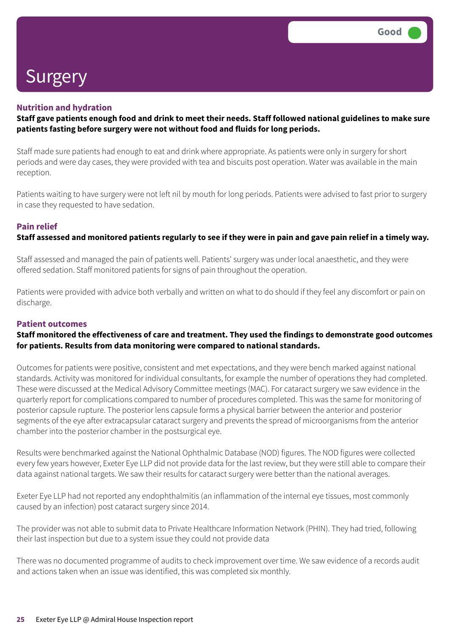### **Nutrition and hydration**

### Staff gave patients enough food and drink to meet their needs. Staff followed national guidelines to make sure **patients fasting before surgery were not without food and fluids for long periods.**

Staff made sure patients had enough to eat and drink where appropriate. As patients were only in surgery for short periods and were day cases, they were provided with tea and biscuits post operation. Water was available in the main reception.

Patients waiting to have surgery were not left nil by mouth for long periods. Patients were advised to fast prior to surgery in case they requested to have sedation.

### **Pain relief**

### Staff assessed and monitored patients regularly to see if they were in pain and gave pain relief in a timely way.

Staff assessed and managed the pain of patients well. Patients' surgery was under local anaesthetic, and they were offered sedation. Staff monitored patients for signs of pain throughout the operation.

Patients were provided with advice both verbally and written on what to do should if they feel any discomfort or pain on discharge.

### **Patient outcomes**

### **Staff monitored the effectiveness of care and treatment. They used the findings to demonstrate good outcomes for patients. Results from data monitoring were compared to national standards.**

Outcomes for patients were positive, consistent and met expectations, and they were bench marked against national standards. Activity was monitored for individual consultants, for example the number of operations they had completed. These were discussed at the Medical Advisory Committee meetings (MAC). For cataract surgery we saw evidence in the quarterly report for complications compared to number of procedures completed. This was the same for monitoring of posterior capsule rupture. The posterior lens capsule forms a physical barrier between the anterior and posterior segments of the eye after extracapsular cataract surgery and prevents the spread of microorganisms from the anterior chamber into the posterior chamber in the postsurgical eye.

Results were benchmarked against the National Ophthalmic Database (NOD) figures. The NOD figures were collected every few years however, Exeter Eye LLP did not provide data for the last review, but they were still able to compare their data against national targets. We saw their results for cataract surgery were better than the national averages.

Exeter Eye LLP had not reported any endophthalmitis (an inflammation of the internal eye tissues, most commonly caused by an infection) post cataract surgery since 2014.

The provider was not able to submit data to Private Healthcare Information Network (PHIN). They had tried, following their last inspection but due to a system issue they could not provide data

There was no documented programme of audits to check improvement over time. We saw evidence of a records audit and actions taken when an issue was identified, this was completed six monthly.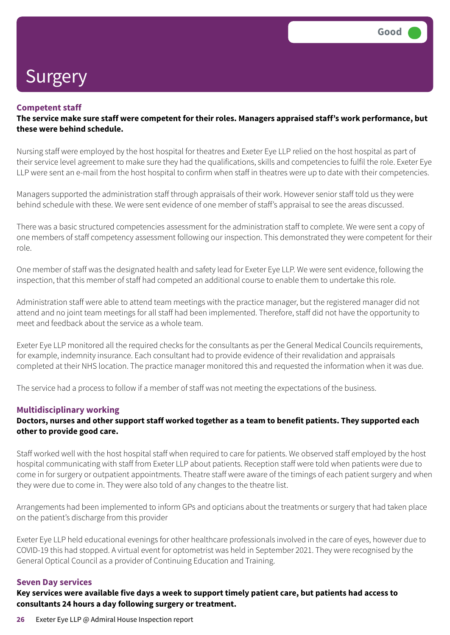### **Competent staff**

**The service make sure staff were competent for their roles. Managers appraised staff's work performance, but these were behind schedule.**

Nursing staff were employed by the host hospital for theatres and Exeter Eye LLP relied on the host hospital as part of their service level agreement to make sure they had the qualifications, skills and competencies to fulfil the role. Exeter Eye LLP were sent an e-mail from the host hospital to confirm when staff in theatres were up to date with their competencies.

Managers supported the administration staff through appraisals of their work. However senior staff told us they were behind schedule with these. We were sent evidence of one member of staff's appraisal to see the areas discussed.

There was a basic structured competencies assessment for the administration staff to complete. We were sent a copy of one members of staff competency assessment following our inspection. This demonstrated they were competent for their role.

One member of staff was the designated health and safety lead for Exeter Eye LLP. We were sent evidence, following the inspection, that this member of staff had competed an additional course to enable them to undertake this role.

Administration staff were able to attend team meetings with the practice manager, but the registered manager did not attend and no joint team meetings for all staff had been implemented. Therefore, staff did not have the opportunity to meet and feedback about the service as a whole team.

Exeter Eye LLP monitored all the required checks for the consultants as per the General Medical Councils requirements, for example, indemnity insurance. Each consultant had to provide evidence of their revalidation and appraisals completed at their NHS location. The practice manager monitored this and requested the information when it was due.

The service had a process to follow if a member of staff was not meeting the expectations of the business.

### **Multidisciplinary working**

### Doctors, nurses and other support staff worked together as a team to benefit patients. They supported each **other to provide good care.**

Staff worked well with the host hospital staff when required to care for patients. We observed staff employed by the host hospital communicating with staff from Exeter LLP about patients. Reception staff were told when patients were due to come in for surgery or outpatient appointments. Theatre staff were aware of the timings of each patient surgery and when they were due to come in. They were also told of any changes to the theatre list.

Arrangements had been implemented to inform GPs and opticians about the treatments or surgery that had taken place on the patient's discharge from this provider

Exeter Eye LLP held educational evenings for other healthcare professionals involved in the care of eyes, however due to COVID-19 this had stopped. A virtual event for optometrist was held in September 2021. They were recognised by the General Optical Council as a provider of Continuing Education and Training.

### **Seven Day services**

Key services were available five days a week to support timely patient care, but patients had access to **consultants 24 hours a day following surgery or treatment.**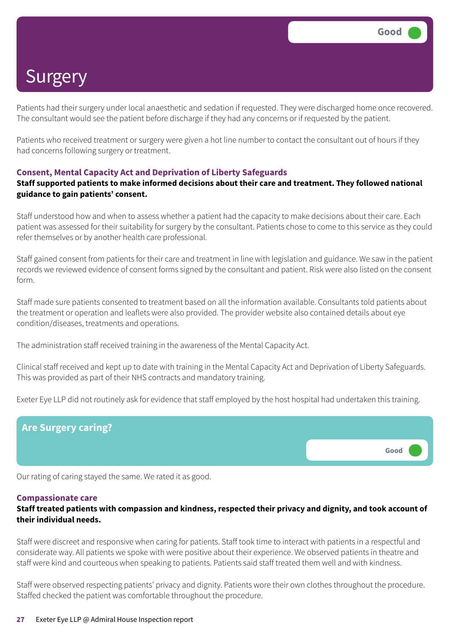Patients had their surgery under local anaesthetic and sedation if requested. They were discharged home once recovered. The consultant would see the patient before discharge if they had any concerns or if requested by the patient.

Patients who received treatment or surgery were given a hot line number to contact the consultant out of hours if they had concerns following surgery or treatment.

### **Consent, Mental Capacity Act and Deprivation of Liberty Safeguards**

### **Staff supported patients to make informed decisions about their care and treatment. They followed national guidance to gain patients' consent.**

Staff understood how and when to assess whether a patient had the capacity to make decisions about their care. Each patient was assessed for their suitability for surgery by the consultant. Patients chose to come to this service as they could refer themselves or by another health care professional.

Staff gained consent from patients for their care and treatment in line with legislation and guidance. We saw in the patient records we reviewed evidence of consent forms signed by the consultant and patient. Risk were also listed on the consent form.

Staff made sure patients consented to treatment based on all the information available. Consultants told patients about the treatment or operation and leaflets were also provided. The provider website also contained details about eye condition/diseases, treatments and operations.

The administration staff received training in the awareness of the Mental Capacity Act.

Clinical staff received and kept up to date with training in the Mental Capacity Act and Deprivation of Liberty Safeguards. This was provided as part of their NHS contracts and mandatory training.

Exeter Eye LLP did not routinely ask for evidence that staff employed by the host hospital had undertaken this training.



Our rating of caring stayed the same. We rated it as good.

### **Compassionate care**

### **Staff treated patients with compassion and kindness, respected their privacy and dignity, and took account of their individual needs.**

Staff were discreet and responsive when caring for patients. Staff took time to interact with patients in a respectful and considerate way. All patients we spoke with were positive about their experience. We observed patients in theatre and staff were kind and courteous when speaking to patients. Patients said staff treated them well and with kindness.

Staff were observed respecting patients' privacy and dignity. Patients wore their own clothes throughout the procedure. Staffed checked the patient was comfortable throughout the procedure.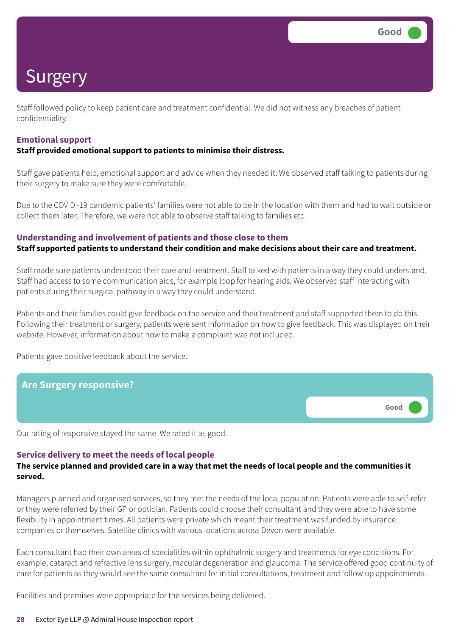Staff followed policy to keep patient care and treatment confidential. We did not witness any breaches of patient confidentiality.

### **Emotional support**

### **Staff provided emotional support to patients to minimise their distress.**

Staff gave patients help, emotional support and advice when they needed it. We observed staff talking to patients during their surgery to make sure they were comfortable.

Due to the COVID -19 pandemic patients' families were not able to be in the location with them and had to wait outside or collect them later. Therefore, we were not able to observe staff talking to families etc.

### **Understanding and involvement of patients and those close to them**

### **Staff supported patients to understand their condition and make decisions about their care and treatment.**

Staff made sure patients understood their care and treatment. Staff talked with patients in a way they could understand. Staff had access to some communication aids, for example loop for hearing aids. We observed staff interacting with patients during their surgical pathway in a way they could understand.

Patients and their families could give feedback on the service and their treatment and staff supported them to do this. Following their treatment or surgery, patients were sent information on how to give feedback. This was displayed on their website. However, information about how to make a complaint was not included.

Patients gave positive feedback about the service.



Our rating of responsive stayed the same. We rated it as good.

### **Service delivery to meet the needs of local people**

### The service planned and provided care in a way that met the needs of local people and the communities it **served.**

Managers planned and organised services, so they met the needs of the local population. Patients were able to self-refer or they were referred by their GP or optician. Patients could choose their consultant and they were able to have some flexibility in appointment times. All patients were private which meant their treatment was funded by insurance companies or themselves. Satellite clinics with various locations across Devon were available.

Each consultant had their own areas of specialities within ophthalmic surgery and treatments for eye conditions. For example, cataract and refractive lens surgery, macular degeneration and glaucoma. The service offered good continuity of care for patients as they would see the same consultant for initial consultations, treatment and follow up appointments.

Facilities and premises were appropriate for the services being delivered.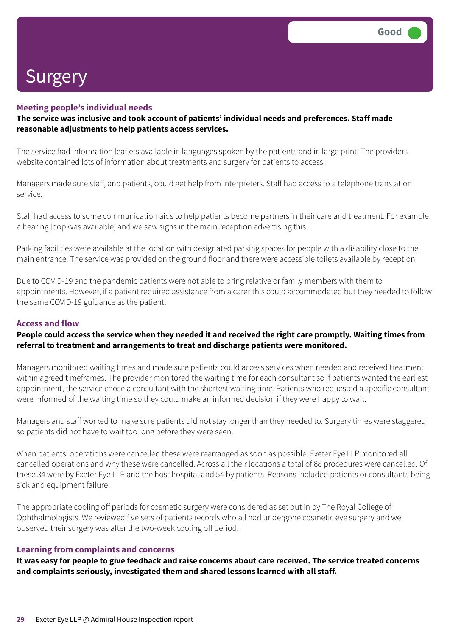### **Meeting people's individual needs**

**The service was inclusive and took account of patients' individual needs and preferences. Staff made reasonable adjustments to help patients access services.**

The service had information leaflets available in languages spoken by the patients and in large print. The providers website contained lots of information about treatments and surgery for patients to access.

Managers made sure staff, and patients, could get help from interpreters. Staff had access to a telephone translation service.

Staff had access to some communication aids to help patients become partners in their care and treatment. For example, a hearing loop was available, and we saw signs in the main reception advertising this.

Parking facilities were available at the location with designated parking spaces for people with a disability close to the main entrance. The service was provided on the ground floor and there were accessible toilets available by reception.

Due to COVID-19 and the pandemic patients were not able to bring relative or family members with them to appointments. However, if a patient required assistance from a carer this could accommodated but they needed to follow the same COVID-19 guidance as the patient.

### **Access and flow**

### People could access the service when they needed it and received the right care promptly. Waiting times from **referral to treatment and arrangements to treat and discharge patients were monitored.**

Managers monitored waiting times and made sure patients could access services when needed and received treatment within agreed timeframes. The provider monitored the waiting time for each consultant so if patients wanted the earliest appointment, the service chose a consultant with the shortest waiting time. Patients who requested a specific consultant were informed of the waiting time so they could make an informed decision if they were happy to wait.

Managers and staff worked to make sure patients did not stay longer than they needed to. Surgery times were staggered so patients did not have to wait too long before they were seen.

When patients' operations were cancelled these were rearranged as soon as possible. Exeter Eye LLP monitored all cancelled operations and why these were cancelled. Across all their locations a total of 88 procedures were cancelled. Of these 34 were by Exeter Eye LLP and the host hospital and 54 by patients. Reasons included patients or consultants being sick and equipment failure.

The appropriate cooling off periods for cosmetic surgery were considered as set out in by The Royal College of Ophthalmologists. We reviewed five sets of patients records who all had undergone cosmetic eye surgery and we observed their surgery was after the two-week cooling off period.

### **Learning from complaints and concerns**

It was easy for people to give feedback and raise concerns about care received. The service treated concerns **and complaints seriously, investigated them and shared lessons learned with all staff.**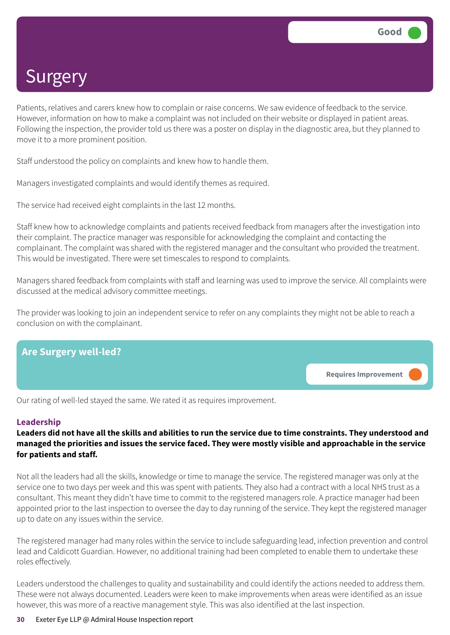Patients, relatives and carers knew how to complain or raise concerns. We saw evidence of feedback to the service. However, information on how to make a complaint was not included on their website or displayed in patient areas. Following the inspection, the provider told us there was a poster on display in the diagnostic area, but they planned to move it to a more prominent position.

Staff understood the policy on complaints and knew how to handle them.

Managers investigated complaints and would identify themes as required.

The service had received eight complaints in the last 12 months.

Staff knew how to acknowledge complaints and patients received feedback from managers after the investigation into their complaint. The practice manager was responsible for acknowledging the complaint and contacting the complainant. The complaint was shared with the registered manager and the consultant who provided the treatment. This would be investigated. There were set timescales to respond to complaints.

Managers shared feedback from complaints with staff and learning was used to improve the service. All complaints were discussed at the medical advisory committee meetings.

The provider was looking to join an independent service to refer on any complaints they might not be able to reach a conclusion on with the complainant.



Our rating of well-led stayed the same. We rated it as requires improvement.

### **Leadership**

### Leaders did not have all the skills and abilities to run the service due to time constraints. They understood and managed the priorities and issues the service faced. They were mostly visible and approachable in the service **for patients and staff.**

Not all the leaders had all the skills, knowledge or time to manage the service. The registered manager was only at the service one to two days per week and this was spent with patients. They also had a contract with a local NHS trust as a consultant. This meant they didn't have time to commit to the registered managers role. A practice manager had been appointed prior to the last inspection to oversee the day to day running of the service. They kept the registered manager up to date on any issues within the service.

The registered manager had many roles within the service to include safeguarding lead, infection prevention and control lead and Caldicott Guardian. However, no additional training had been completed to enable them to undertake these roles effectively.

Leaders understood the challenges to quality and sustainability and could identify the actions needed to address them. These were not always documented. Leaders were keen to make improvements when areas were identified as an issue however, this was more of a reactive management style. This was also identified at the last inspection.

#### **30** Exeter Eye LLP @ Admiral House Inspection report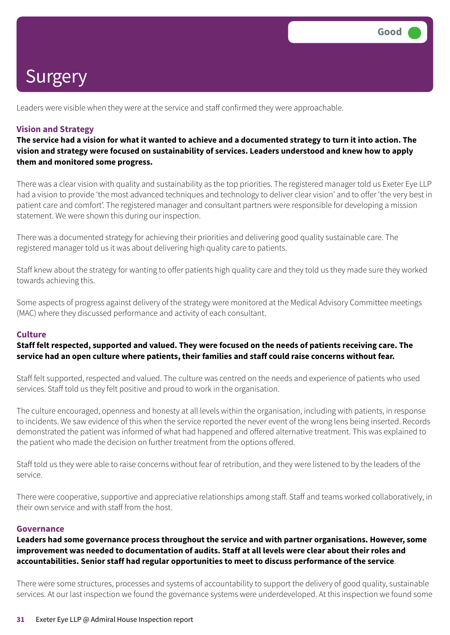Leaders were visible when they were at the service and staff confirmed they were approachable.

### **Vision and Strategy**

The service had a vision for what it wanted to achieve and a documented strategy to turn it into action. The **vision and strategy were focused on sustainability of services. Leaders understood and knew how to apply them and monitored some progress.**

There was a clear vision with quality and sustainability as the top priorities. The registered manager told us Exeter Eye LLP had a vision to provide 'the most advanced techniques and technology to deliver clear vision' and to offer 'the very best in patient care and comfort'. The registered manager and consultant partners were responsible for developing a mission statement. We were shown this during our inspection.

There was a documented strategy for achieving their priorities and delivering good quality sustainable care. The registered manager told us it was about delivering high quality care to patients.

Staff knew about the strategy for wanting to offer patients high quality care and they told us they made sure they worked towards achieving this.

Some aspects of progress against delivery of the strategy were monitored at the Medical Advisory Committee meetings (MAC) where they discussed performance and activity of each consultant.

### **Culture**

### Staff felt respected, supported and valued. They were focused on the needs of patients receiving care. The **service had an open culture where patients, their families and staff could raise concerns without fear.**

Staff felt supported, respected and valued. The culture was centred on the needs and experience of patients who used services. Staff told us they felt positive and proud to work in the organisation.

The culture encouraged, openness and honesty at all levels within the organisation, including with patients, in response to incidents. We saw evidence of this when the service reported the never event of the wrong lens being inserted. Records demonstrated the patient was informed of what had happened and offered alternative treatment. This was explained to the patient who made the decision on further treatment from the options offered.

Staff told us they were able to raise concerns without fear of retribution, and they were listened to by the leaders of the service.

There were cooperative, supportive and appreciative relationships among staff. Staff and teams worked collaboratively, in their own service and with staff from the host.

### **Governance**

### **Leaders had some governance process throughout the service and with partner organisations. However, some improvement was needed to documentation of audits. Staff at all levels were clear about their roles and accountabilities. Senior staff had regular opportunities to meet to discuss performance of the service**.

There were some structures, processes and systems of accountability to support the delivery of good quality, sustainable services. At our last inspection we found the governance systems were underdeveloped. At this inspection we found some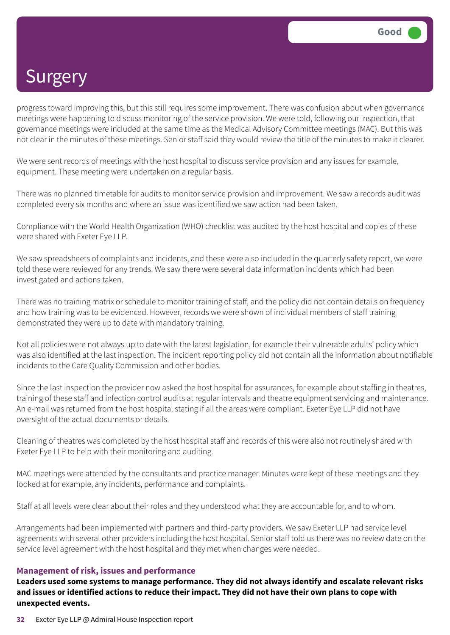progress toward improving this, but this still requires some improvement. There was confusion about when governance meetings were happening to discuss monitoring of the service provision. We were told, following our inspection, that governance meetings were included at the same time as the Medical Advisory Committee meetings (MAC). But this was not clear in the minutes of these meetings. Senior staff said they would review the title of the minutes to make it clearer.

We were sent records of meetings with the host hospital to discuss service provision and any issues for example, equipment. These meeting were undertaken on a regular basis.

There was no planned timetable for audits to monitor service provision and improvement. We saw a records audit was completed every six months and where an issue was identified we saw action had been taken.

Compliance with the World Health Organization (WHO) checklist was audited by the host hospital and copies of these were shared with Exeter Eye LLP.

We saw spreadsheets of complaints and incidents, and these were also included in the quarterly safety report, we were told these were reviewed for any trends. We saw there were several data information incidents which had been investigated and actions taken.

There was no training matrix or schedule to monitor training of staff, and the policy did not contain details on frequency and how training was to be evidenced. However, records we were shown of individual members of staff training demonstrated they were up to date with mandatory training.

Not all policies were not always up to date with the latest legislation, for example their vulnerable adults' policy which was also identified at the last inspection. The incident reporting policy did not contain all the information about notifiable incidents to the Care Quality Commission and other bodies.

Since the last inspection the provider now asked the host hospital for assurances, for example about staffing in theatres, training of these staff and infection control audits at regular intervals and theatre equipment servicing and maintenance. An e-mail was returned from the host hospital stating if all the areas were compliant. Exeter Eye LLP did not have oversight of the actual documents or details.

Cleaning of theatres was completed by the host hospital staff and records of this were also not routinely shared with Exeter Eye LLP to help with their monitoring and auditing.

MAC meetings were attended by the consultants and practice manager. Minutes were kept of these meetings and they looked at for example, any incidents, performance and complaints.

Staff at all levels were clear about their roles and they understood what they are accountable for, and to whom.

Arrangements had been implemented with partners and third-party providers. We saw Exeter LLP had service level agreements with several other providers including the host hospital. Senior staff told us there was no review date on the service level agreement with the host hospital and they met when changes were needed.

### **Management of risk, issues and performance**

**Leaders used some systems to manage performance. They did not always identify and escalate relevant risks** and issues or identified actions to reduce their impact. They did not have their own plans to cope with **unexpected events.**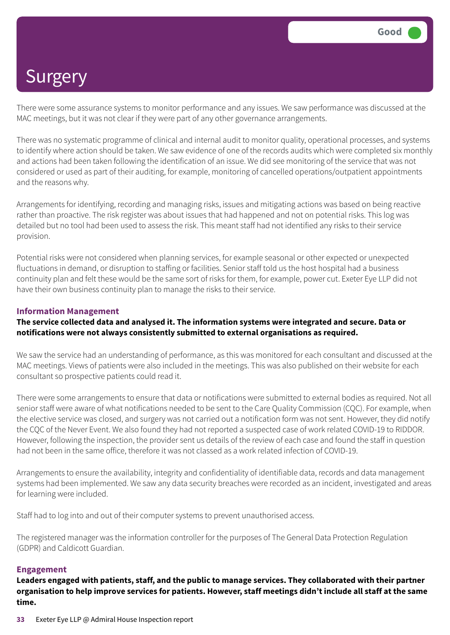There were some assurance systems to monitor performance and any issues. We saw performance was discussed at the MAC meetings, but it was not clear if they were part of any other governance arrangements.

There was no systematic programme of clinical and internal audit to monitor quality, operational processes, and systems to identify where action should be taken. We saw evidence of one of the records audits which were completed six monthly and actions had been taken following the identification of an issue. We did see monitoring of the service that was not considered or used as part of their auditing, for example, monitoring of cancelled operations/outpatient appointments and the reasons why.

Arrangements for identifying, recording and managing risks, issues and mitigating actions was based on being reactive rather than proactive. The risk register was about issues that had happened and not on potential risks. This log was detailed but no tool had been used to assess the risk. This meant staff had not identified any risks to their service provision.

Potential risks were not considered when planning services, for example seasonal or other expected or unexpected fluctuations in demand, or disruption to staffing or facilities. Senior staff told us the host hospital had a business continuity plan and felt these would be the same sort of risks for them, for example, power cut. Exeter Eye LLP did not have their own business continuity plan to manage the risks to their service.

### **Information Management**

### **The service collected data and analysed it. The information systems were integrated and secure. Data or notifications were not always consistently submitted to external organisations as required.**

We saw the service had an understanding of performance, as this was monitored for each consultant and discussed at the MAC meetings. Views of patients were also included in the meetings. This was also published on their website for each consultant so prospective patients could read it.

There were some arrangements to ensure that data or notifications were submitted to external bodies as required. Not all senior staff were aware of what notifications needed to be sent to the Care Quality Commission (CQC). For example, when the elective service was closed, and surgery was not carried out a notification form was not sent. However, they did notify the CQC of the Never Event. We also found they had not reported a suspected case of work related COVID-19 to RIDDOR. However, following the inspection, the provider sent us details of the review of each case and found the staff in question had not been in the same office, therefore it was not classed as a work related infection of COVID-19.

Arrangements to ensure the availability, integrity and confidentiality of identifiable data, records and data management systems had been implemented. We saw any data security breaches were recorded as an incident, investigated and areas for learning were included.

Staff had to log into and out of their computer systems to prevent unauthorised access.

The registered manager was the information controller for the purposes of The General Data Protection Regulation (GDPR) and Caldicott Guardian.

### **Engagement**

**Leaders engaged with patients, staff, and the public to manage services. They collaborated with their partner** organisation to help improve services for patients. However, staff meetings didn't include all staff at the same **time.**